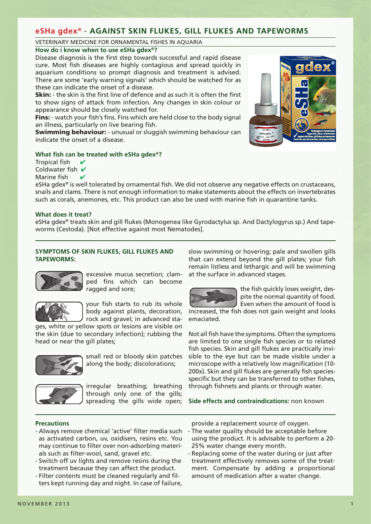# **eSHa gdex®** - **AGAINST SKIN FLUKES, GILL FLUKES AND TAPEWORMS**

### VETERINARY MEDICINE FOR ORNAMENTAL FISHES IN AQUARIA

# **How do i know when to use eSHa gdex®?**

Disease diagnosis is the first step towards successful and rapid disease cure. Most fish diseases are highly contagious and spread quickly in aquarium conditions so prompt diagnosis and treatment is advised. There are some 'early warning signals' which should be watched for as these can indicate the onset of a disease.

**Skin:** - the skin is the first line of defence and as such it is often the first to show signs of attack from infection. Any changes in skin colour or appearance should be closely watched for.

Fins: - watch your fish's fins. Fins which are held close to the body signal an illness, particularly on live bearing fish.

**Swimming behaviour:** - unusual or sluggish swimming behaviour can indicate the onset of a disease.

# **What fish can be treated with eSHa gdex®?**

Tropical fish  $\sqrt{}$ Coldwater fish  $\boldsymbol{v}$ Marine fish

eSHa gdex® is well tolerated by ornamental fish. We did not observe any negative effects on crustaceans, snails and clams. There is not enough information to make statements about the effects on invertebrates such as corals, anemones, etc. This product can also be used with marine fish in quarantine tanks.

# **What does it treat?**

eSHa gdex® treats skin and gill flukes (Monogenea like Gyrodactylus sp. And Dactylogyrus sp.) And tapeworms (Cestoda). [Not effective against most Nematodes].

# **SYMPTOMS OF SKIN FLUKES, GILL FLUKES AND TAPEWORMS:**



excessive mucus secretion; clamped fins which can become ragged and sore;



your fish starts to rub its whole body against plants, decoration, rock and gravel; in advanced sta-

ges, white or yellow spots or lesions are visible on the skin (due to secondary infection); rubbing the head or near the gill plates;



small red or bloody skin patches along the body; discolorations;



irregular breathing; breathing through only one of the gills; spreading the gills wide open; slow swimming or hovering; pale and swollen gills that can extend beyond the gill plates; your fish remain listless and lethargic and will be swimming at the surface in advanced stages.



the fish quickly loses weight, despite the normal quantity of food. Even when the amount of food is

increased, the fish does not gain weight and looks emaciated.

Not all fish have the symptoms. Often the symptoms are limited to one single fish species or to related fish species. Skin and gill flukes are practically invisible to the eye but can be made visible under a microscope with a relatively low magnification (10- 200x). Skin and gill flukes are generally fish speciesspecific but they can be transferred to other fishes, through fishnets and plants or through water.

**Side effects and contraindications:** non known

# **Precautions**

- Always remove chemical 'active' filter media such as activated carbon, uv, oxidisers, resins etc. You may continue to filter over non-adsorbing materials such as filter-wool, sand, gravel etc.
- Switch off uv lights and remove resins during the treatment because they can affect the product.
- Filter contents must be cleaned regularly and filters kept running day and night. In case of failure,

provide a replacement source of oxygen.

- The water quality should be acceptable before using the product. It is advisable to perform a 20- 25% water change every month.
- Replacing some of the water during or just after treatment effectively removes some of the treatment. Compensate by adding a proportional amount of medication after a water change.

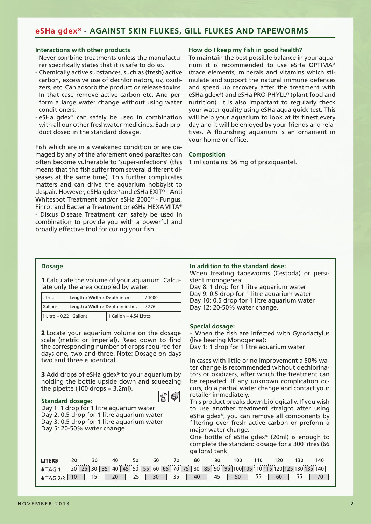# **eSHa gdex®** - **AGAINST SKIN FLUKES, GILL FLUKES AND TAPEWORMS**

#### **Interactions with other products**

- Never combine treatments unless the manufacturer specifically states that it is safe to do so.
- Chemically active substances, such as (fresh) active carbon, excessive use of dechlorinators, uv, oxidizers, etc. Can adsorb the product or release toxins. In that case remove active carbon etc. And perform a large water change without using water conditioners.
- eSHa gdex® can safely be used in combination with all our other freshwater medicines. Each product dosed in the standard dosage.

Fish which are in a weakened condition or are damaged by any of the aforementioned parasites can often become vulnerable to 'super-infections' (this means that the fish suffer from several different diseases at the same time). This further complicates matters and can drive the aquarium hobbyist to despair. However, eSHa gdex® and eSHa EXIT® - Anti Whitespot Treatment and/or eSHa 2000® - Fungus, Finrot and Bacteria Treatment or eSHa HEXAMITA® - Discus Disease Treatment can safely be used in combination to provide you with a powerful and broadly effective tool for curing your fish.

#### **How do I keep my fish in good health?**

To maintain the best possible balance in your aquarium it is recommended to use eSHa OPTIMA® (trace elements, minerals and vitamins which stimulate and support the natural immune defences and speed up recovery after the treatment with eSHa gdex®) and eSHa PRO-PHYLL® (plant food and nutrition). It is also important to regularly check your water quality using eSHa aqua quick test. This will help your aquarium to look at its finest every day and it will be enjoyed by your friends and relatives. A flourishing aquarium is an ornament in your home or office.

### **Composition**

1 ml contains: 66 mg of praziquantel.

## **Dosage**

1 Calculate the volume of your aquarium. Calculate only the area occupied by water.

| Litres:                  | Length x Width x Depth in cm     | / 1000                   |  |  |  |  |  |  |
|--------------------------|----------------------------------|--------------------------|--|--|--|--|--|--|
| Gallons:                 | Length x Width x Depth in inches | /276                     |  |  |  |  |  |  |
| $1$ Litre = 0.22 Gallons |                                  | 1 Gallon = $4.54$ Litres |  |  |  |  |  |  |

2 Locate your aquarium volume on the dosage scale (metric or imperial). Read down to find the corresponding number of drops required for days one, two and three. Note: Dosage on days two and three is identical.

3 Add drops of eSHa gdex<sup>®</sup> to your aquarium by holding the bottle upside down and squeezing the pipette (100 drops = 3.2ml).

#### **Standard dosage:**



Day 1: 1 drop for 1 litre aquarium water Day 2: 0.5 drop for 1 litre aquarium water Day 3: 0.5 drop for 1 litre aquarium water Day 5: 20-50% water change.

### **In addition to the standard dose:**

When treating tapeworms (Cestoda) or persistent monogenea:

Day 8: 1 drop for 1 litre aquarium water Day 9: 0.5 drop for 1 litre aquarium water Day 10: 0.5 drop for 1 litre aquarium water Day 12: 20-50% water change.

#### **Special dosage:**

- When the fish are infected with Gyrodactylus (live bearing Monogenea):

Day 1: 1 drop for 1 litre aquarium water

In cases with little or no improvement a 50% water change is recommended without dechlorinators or oxidizers, after which the treatment can be repeated. If any unknown complication occurs, do a partial water change and contact your retailer immediately.

This product breaks down biologically. If you wish to use another treatment straight after using eSHa gdex®, you can remove all components by filtering over fresh active carbon or preform a major water change.

One bottle of eSHa gdex® (20ml) is enough to complete the standard dosage for a 300 litres (66 gallons) tank.

| <b>I ITFRS</b>   |    | 30 |    | -40 |    | 50 |    | 60 |    |       | 80    | 90 |           | 00        |  |    | 30 | 140                         |
|------------------|----|----|----|-----|----|----|----|----|----|-------|-------|----|-----------|-----------|--|----|----|-----------------------------|
|                  | 20 |    | 35 | 40  | 45 | 50 | 55 | 60 | 65 | 70 75 | 80 85 | 90 | $95 \mid$ | 100 105 1 |  |    |    | 110 115 120 125 130 135 140 |
| $\Delta G$ $2/3$ |    |    |    |     |    |    |    |    |    |       |       | 45 |           |           |  | 60 |    |                             |